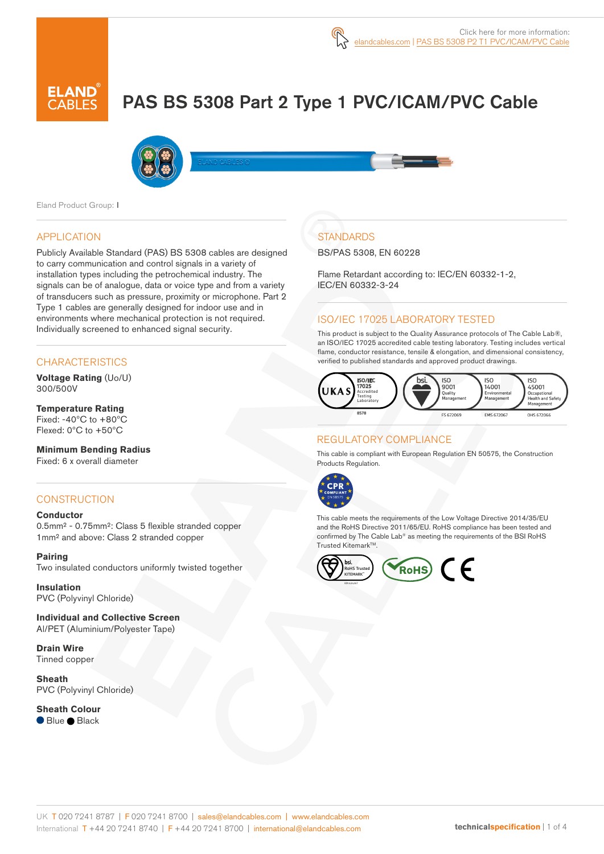# PAS BS 5308 Part 2 Type 1 PVC/ICAM/PVC Cable



Eland Product Group: I

#### APPLICATION

Publicly Available Standard (PAS) BS 5308 cables are designed to carry communication and control signals in a variety of installation types including the petrochemical industry. The signals can be of analogue, data or voice type and from a variety of transducers such as pressure, proximity or microphone. Part 2 Type 1 cables are generally designed for indoor use and in environments where mechanical protection is not required. Individually screened to enhanced signal security.

## **CHARACTERISTICS**

**Voltage Rating** (Uo/U) 300/500V

#### **Temperature Rating** Fixed: -40ºC to +80ºC Flexed: 0ºC to +50ºC

**Minimum Bending Radius**  Fixed: 6 x overall diameter

# **CONSTRUCTION**

#### **Conductor**

0.5mm² - 0.75mm²: Class 5 flexible stranded copper 1mm² and above: Class 2 stranded copper

#### **Pairing**

Two insulated conductors uniformly twisted together

**Insulation** PVC (Polyvinyl Chloride)

**Individual and Collective Screen** Al/PET (Aluminium/Polyester Tape)

**Drain Wire** Tinned copper

**Sheath** PVC (Polyvinyl Chloride)

**Sheath Colour** ● Blue ● Black

# **STANDARDS**

BS/PAS 5308, EN 60228

Flame Retardant according to: IEC/EN 60332-1-2, IEC/EN 60332-3-24

# ISO/IEC 17025 LABORATORY TESTED

This product is subject to the Quality Assurance protocols of The Cable Lab®, an ISO/IEC 17025 accredited cable testing laboratory. Testing includes vertical flame, conductor resistance, tensile & elongation, and dimensional consistency, verified to published standards and approved product drawings.



#### REGULATORY COMPLIANCE

This cable is compliant with European Regulation EN 50575, the Construction Products Regulation.



This cable meets the requirements of the Low Voltage Directive 2014/35/EU and the RoHS Directive 2011/65/EU. RoHS compliance has been tested and confirmed by The Cable Lab® as meeting the requirements of the BSI RoHS Trusted Kitemark™.

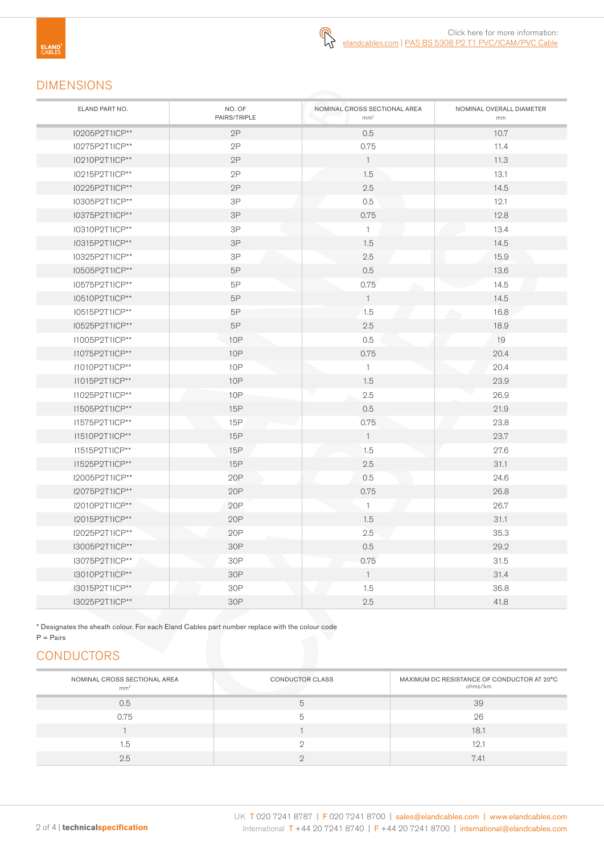# DIMENSIONS

| ELAND PART NO. | NO. OF<br>PAIRS/TRIPLE | NOMINAL CROSS SECTIONAL AREA<br>mm <sup>2</sup> | NOMINAL OVERALL DIAMETER<br>mm |
|----------------|------------------------|-------------------------------------------------|--------------------------------|
| I0205P2T1ICP** | 2P                     | 0.5                                             | 10.7                           |
| I0275P2T1ICP** | 2P                     | 0.75                                            | 11.4                           |
| I0210P2T1ICP** | 2P                     | $\overline{1}$                                  | 11.3                           |
| I0215P2T1ICP** | 2P                     | 1.5                                             | 13.1                           |
| I0225P2T1ICP** | $2\mathsf{P}$          | 2.5                                             | 14.5                           |
| 10305P2T1ICP** | $3\mathsf{P}$          | 0.5                                             | 12.1                           |
| I0375P2T1ICP** | $3P$                   | 0.75                                            | 12.8                           |
| I0310P2T1ICP** | 3P                     | $\mathbf{1}$                                    | 13.4                           |
| I0315P2T1ICP** | 3P                     | 1.5                                             | 14.5                           |
| I0325P2T1ICP** | 3P                     | 2.5                                             | 15.9                           |
| I0505P2T1ICP** | 5P                     | 0.5                                             | 13.6                           |
| I0575P2T1ICP** | 5P                     | 0.75                                            | 14.5                           |
| I0510P2T1ICP** | $5\mathsf{P}$          | $\overline{1}$                                  | 14.5                           |
| I0515P2T1ICP** | 5P                     | 1.5                                             | 16.8                           |
| I0525P2T1ICP** | 5P                     | 2.5                                             | 18.9                           |
| I1005P2T1ICP** | <b>10P</b>             | 0.5                                             | 19                             |
| I1075P2T1ICP** | <b>10P</b>             | 0.75                                            | 20.4                           |
| I1010P2T1ICP** | <b>10P</b>             | $\mathbf{1}$                                    | 20.4                           |
| I1015P2T1ICP** | <b>10P</b>             | 1.5                                             | 23.9                           |
| I1025P2T1ICP** | <b>10P</b>             | 2.5                                             | 26.9                           |
| I1505P2T1ICP** | 15P                    | 0.5                                             | 21.9                           |
| I1575P2T1ICP** | 15P                    | 0.75                                            | 23.8                           |
| I1510P2T1ICP** | 15P                    | $\mathbf{1}$                                    | 23.7                           |
| I1515P2T1ICP** | 15P                    | 1.5                                             | 27.6                           |
| I1525P2T1ICP** | 15P                    | 2.5                                             | 31.1                           |
| I2005P2T1ICP** | 20P                    | 0.5                                             | 24.6                           |
| I2075P2T1ICP** | 20P                    | 0.75                                            | 26.8                           |
| I2010P2T1ICP** | 20P                    | $\mathbf{1}$                                    | 26.7                           |
| I2015P2T1ICP** | 20P                    | 1.5                                             | 31.1                           |
| I2025P2T1ICP** | 20P                    | 2.5                                             | 35.3                           |
| I3005P2T1ICP** | 30P                    | 0.5                                             | 29.2                           |
| I3075P2T1ICP** | 30P                    | 0.75                                            | 31.5                           |
| I3010P2T1ICP** | 30P                    | $\mathbf{1}$                                    | 31.4                           |
| 13015P2T1ICP** | 30P                    | 1.5                                             | 36.8                           |
| I3025P2T1ICP** | 30P                    | 2.5                                             | 41.8                           |

\* Designates the sheath colour. For each Eland Cables part number replace with the colour code

## $P = \text{Pairs}$

# **CONDUCTORS**

| NOMINAL CROSS SECTIONAL AREA<br>mm <sup>2</sup> | <b>CONDUCTOR CLASS</b> | MAXIMUM DC RESISTANCE OF CONDUCTOR AT 20°C<br>ohms/km |
|-------------------------------------------------|------------------------|-------------------------------------------------------|
| 0.5                                             |                        | 39                                                    |
| 0.75                                            |                        | 26                                                    |
|                                                 |                        | 18.1                                                  |
| 1.5                                             |                        | 12.1                                                  |
| 2.5                                             |                        | 7.41                                                  |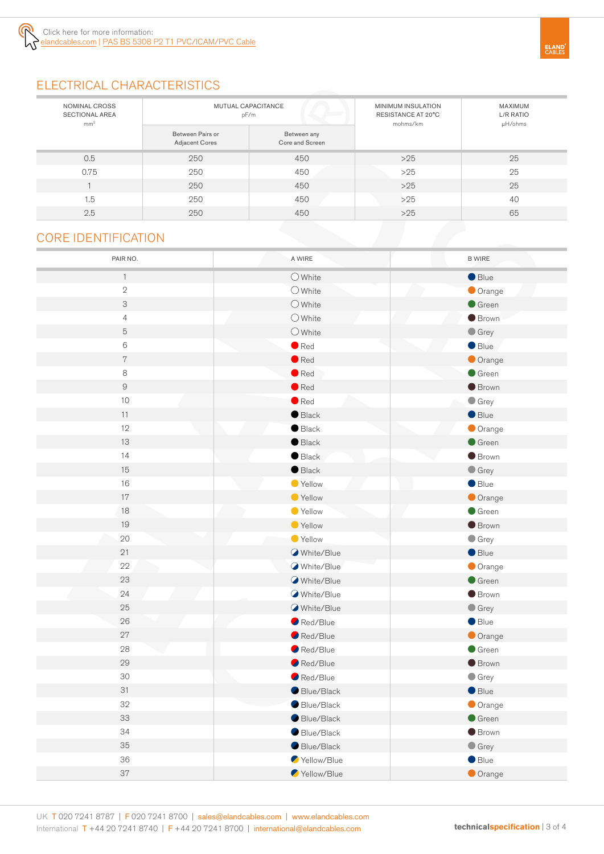

# ELECTRICAL CHARACTERISTICS

| NOMINAL CROSS<br><b>SECTIONAL AREA</b><br>mm <sup>2</sup> | <b>MUTUAL CAPACITANCE</b><br>pF/m         |                                | MINIMUM INSULATION<br>RESISTANCE AT 20°C<br>mohms/km | MAXIMUM<br>L/R RATIO<br>µH/ohms |
|-----------------------------------------------------------|-------------------------------------------|--------------------------------|------------------------------------------------------|---------------------------------|
|                                                           | Between Pairs or<br><b>Adjacent Cores</b> | Between any<br>Core and Screen |                                                      |                                 |
| 0.5                                                       | 250                                       | 450                            | $>25$                                                | 25                              |
| 0.75                                                      | 250                                       | 450                            | $>25$                                                | 25                              |
|                                                           | 250                                       | 450                            | $>25$                                                | 25                              |
| 1.5                                                       | 250                                       | 450                            | $>25$                                                | 40                              |
| 2.5                                                       | 250                                       | 450                            | $>25$                                                | 65                              |
| <b>CORE IDENTIFICATION</b>                                |                                           |                                |                                                      |                                 |

# CORE IDENTIFICATION

| PAIR NO.       | A WIRE           | <b>B WIRE</b>   |
|----------------|------------------|-----------------|
| $\mathbf{1}$   | $O$ White        | Blue            |
| $\sqrt{2}$     | $\bigcirc$ White | Orange          |
| 3              | $\bigcirc$ White | Green           |
| $\overline{4}$ | $\bigcirc$ White | <b>Brown</b>    |
| $\mathbf 5$    | $\bigcirc$ White | $\bullet$ Grey  |
| $\mathbf 6$    | $\bullet$ Red    | Blue            |
| $\,7$          | $\bullet$ Red    | Orange          |
| 8              | $\bullet$ Red    | Green           |
| $\hbox{9}$     | $\bullet$ Red    | <b>Brown</b>    |
| $10$           | $\bullet$ Red    | $\bullet$ Grey  |
| 11             | $\bullet$ Black  | Blue            |
| 12             | $\bullet$ Black  | Orange          |
| 13             | $\bullet$ Black  | Green           |
| 14             | $\bullet$ Black  | <b>Brown</b>    |
| 15             | $\bullet$ Black  | $\bullet$ Grey  |
| 16             | Yellow           | $\bullet$ Blue  |
| $17\,$         | ● Yellow         | Orange          |
| 18             | Vellow           | Green           |
| 19             | ● Yellow         | <b>Brown</b>    |
| 20             | Yellow           | $\bullet$ Grey  |
| 21             | White/Blue       | Blue            |
| 22             | White/Blue       | Orange          |
| 23             | White/Blue       | Green           |
| 24             | White/Blue       | <b>Brown</b>    |
| 25             | White/Blue       | $\bullet$ Grey  |
| 26             | Red/Blue         | Blue            |
| 27             | Red/Blue         | Orange          |
| 28             | Red/Blue         | $\bullet$ Green |
| 29             | Red/Blue         | <b>Brown</b>    |
| $30\,$         | Red/Blue         | $\bullet$ Grey  |
| 31             | Blue/Black       | $\bullet$ Blue  |
| 32             | Blue/Black       | Orange          |
| 33             | Blue/Black       | $\bullet$ Green |
| 34             | Blue/Black       | <b>Brown</b>    |
| 35             | Blue/Black       | $\bullet$ Grey  |
| 36             | Yellow/Blue      | Blue            |
| 37             | Yellow/Blue      | Orange          |